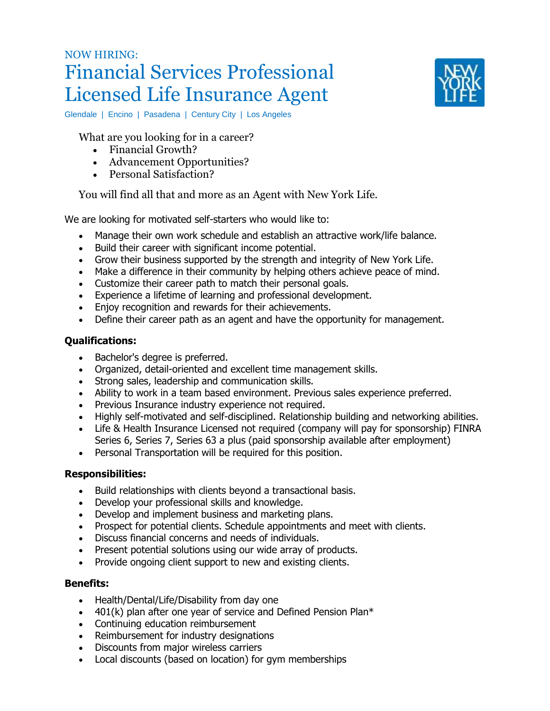# NOW HIRING: Financial Services Professional Licensed Life Insurance Agent



Glendale | Encino | Pasadena | Century City | Los Angeles

What are you looking for in a career?

- Financial Growth?
- Advancement Opportunities?
- Personal Satisfaction?

You will find all that and more as an Agent with New York Life.

We are looking for motivated self-starters who would like to:

- Manage their own work schedule and establish an attractive work/life balance.
- Build their career with significant income potential.
- Grow their business supported by the strength and integrity of New York Life.
- Make a difference in their community by helping others achieve peace of mind.
- Customize their career path to match their personal goals.
- Experience a lifetime of learning and professional development.
- Enjoy recognition and rewards for their achievements.
- Define their career path as an agent and have the opportunity for management.

## **Qualifications:**

- Bachelor's degree is preferred.
- Organized, detail-oriented and excellent time management skills.
- Strong sales, leadership and communication skills.
- Ability to work in a team based environment. Previous sales experience preferred.
- Previous Insurance industry experience not required.
- Highly self-motivated and self-disciplined. Relationship building and networking abilities.
- Life & Health Insurance Licensed not required (company will pay for sponsorship) FINRA Series 6, Series 7, Series 63 a plus (paid sponsorship available after employment)
- Personal Transportation will be required for this position.

#### **Responsibilities:**

- Build relationships with clients beyond a transactional basis.
- Develop your professional skills and knowledge.
- Develop and implement business and marketing plans.
- Prospect for potential clients. Schedule appointments and meet with clients.
- Discuss financial concerns and needs of individuals.
- Present potential solutions using our wide array of products.
- Provide ongoing client support to new and existing clients.

#### **Benefits:**

- Health/Dental/Life/Disability from day one
- $\bullet$  401(k) plan after one year of service and Defined Pension Plan\*
- Continuing education reimbursement
- Reimbursement for industry designations
- Discounts from major wireless carriers
- Local discounts (based on location) for gym memberships